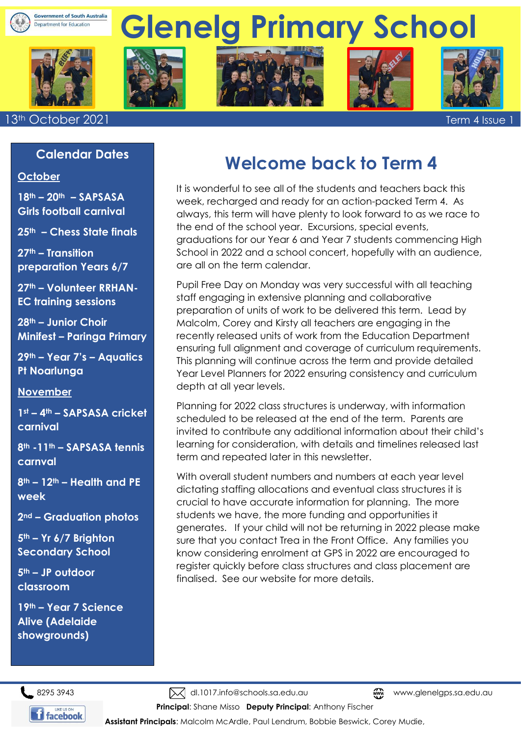











13th October 2021 Term 4 Issue 1

#### **Calendar Dates**

#### **October**

**18th – 20th – SAPSASA Girls football carnival** 

**25th – Chess State finals**

**27th – Transition preparation Years 6/7**

**27th – Volunteer RRHAN-EC training sessions**

**28th – Junior Choir Minifest – Paringa Primary** 

**29th – Year 7's – Aquatics Pt Noarlunga** 

#### **November**

**1st – 4th – SAPSASA cricket carnival**

**8th -11th – SAPSASA tennis carnval**

**8th – 12th – Health and PE week** 

**2nd – Graduation photos** 

**5th – Yr 6/7 Brighton Secondary School** 

**5th – JP outdoor classroom** 

**19th – Year 7 Science Alive (Adelaide showgrounds)**

# **Welcome back to Term 4**

It is wonderful to see all of the students and teachers back this week, recharged and ready for an action-packed Term 4. As always, this term will have plenty to look forward to as we race to the end of the school year. Excursions, special events, graduations for our Year 6 and Year 7 students commencing High School in 2022 and a school concert, hopefully with an audience, are all on the term calendar.

Pupil Free Day on Monday was very successful with all teaching staff engaging in extensive planning and collaborative preparation of units of work to be delivered this term. Lead by Malcolm, Corey and Kirsty all teachers are engaging in the recently released units of work from the Education Department ensuring full alignment and coverage of curriculum requirements. This planning will continue across the term and provide detailed Year Level Planners for 2022 ensuring consistency and curriculum depth at all year levels.

Planning for 2022 class structures is underway, with information scheduled to be released at the end of the term. Parents are invited to contribute any additional information about their child's learning for consideration, with details and timelines released last term and repeated later in this newsletter.

With overall student numbers and numbers at each year level dictating staffing allocations and eventual class structures it is crucial to have accurate information for planning. The more students we have, the more funding and opportunities it generates. If your child will not be returning in 2022 please make sure that you contact Trea in the Front Office. Any families you know considering enrolment at GPS in 2022 are encouraged to register quickly before class structures and class placement are finalised. See our website for more details.

8295 3943 Mal.1017.info@schools.sa.edu.au www.glenelgps.sa.edu.au www.glenelgps.sa.edu.au



**Principal**: Shane Misso **Deputy Principal**: Anthony Fischer **Assistant Principals**: Malcolm McArdle, Paul Lendrum, Bobbie Beswick, Corey Mudie,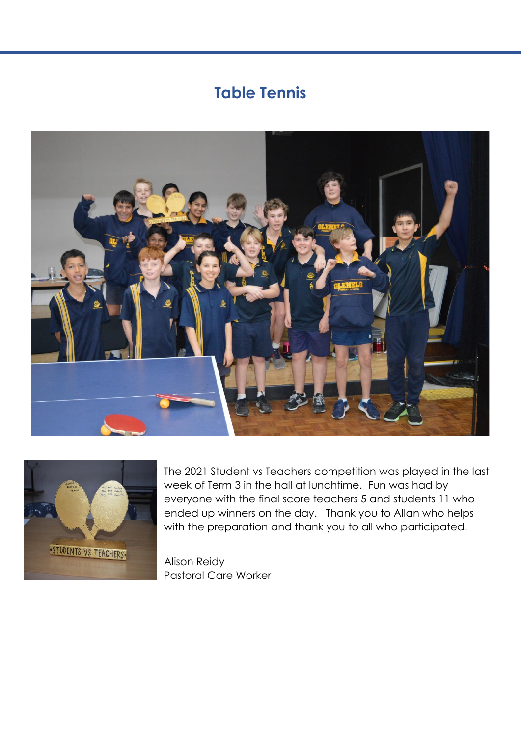## **Table Tennis**





The 2021 Student vs Teachers competition was played in the last week of Term 3 in the hall at lunchtime. Fun was had by everyone with the final score teachers 5 and students 11 who ended up winners on the day. Thank you to Allan who helps with the preparation and thank you to all who participated.

Alison Reidy Pastoral Care Worker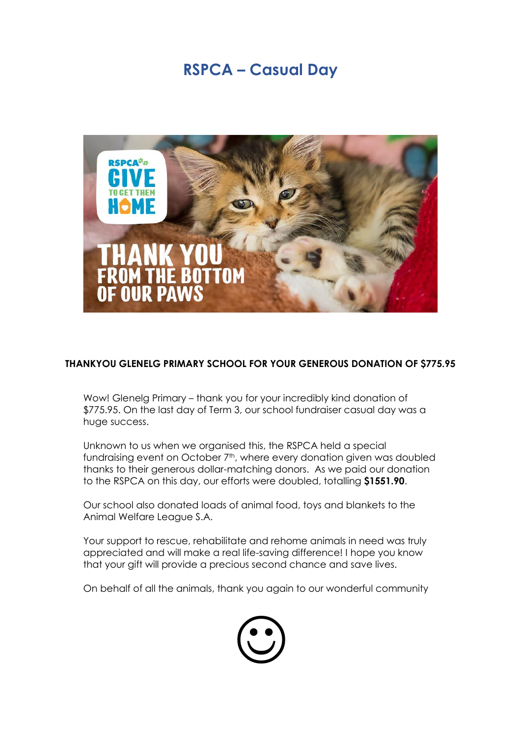## **RSPCA – Casual Day**



#### **THANKYOU GLENELG PRIMARY SCHOOL FOR YOUR GENEROUS DONATION OF \$775.95**

Wow! Glenelg Primary – thank you for your incredibly kind donation of \$775.95. On the last day of Term 3, our school fundraiser casual day was a huge success.

Unknown to us when we organised this, the RSPCA held a special fundraising event on October 7<sup>th</sup>, where every donation given was doubled thanks to their generous dollar-matching donors. As we paid our donation to the RSPCA on this day, our efforts were doubled, totalling **\$1551.90**.

Our school also donated loads of animal food, toys and blankets to the Animal Welfare League S.A.

Your support to rescue, rehabilitate and rehome animals in need was truly appreciated and will make a real life-saving difference! I hope you know that your gift will provide a precious second chance and save lives.

On behalf of all the animals, thank you again to our wonderful community

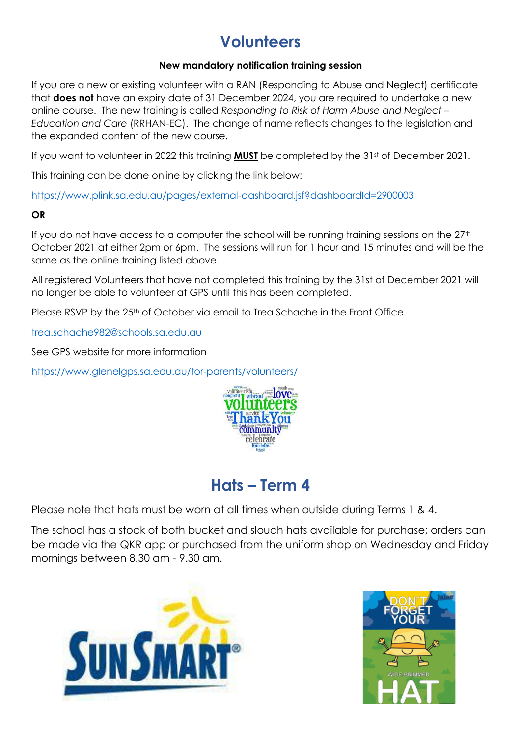# **Volunteers**

#### **New mandatory notification training session**

If you are a new or existing volunteer with a RAN (Responding to Abuse and Neglect) certificate that **does not** have an expiry date of 31 December 2024, you are required to undertake a new online course. The new training is called *Responding to Risk of Harm Abuse and Neglect – Education and Care* (RRHAN-EC). The change of name reflects changes to the legislation and the expanded content of the new course.

If you want to volunteer in 2022 this training **MUST** be completed by the 31<sup>st</sup> of December 2021.

This training can be done online by clicking the link below:

<https://www.plink.sa.edu.au/pages/external-dashboard.jsf?dashboardId=2900003>

#### **OR**

If you do not have access to a computer the school will be running training sessions on the 27<sup>th</sup> October 2021 at either 2pm or 6pm. The sessions will run for 1 hour and 15 minutes and will be the same as the online training listed above.

All registered Volunteers that have not completed this training by the 31st of December 2021 will no longer be able to volunteer at GPS until this has been completed.

Please RSVP by the 25<sup>th</sup> of October via email to Trea Schache in the Front Office

[trea.schache982@schools.sa.edu.au](mailto:trea.schache982@schools.sa.edu.au)

See GPS website for more information

<https://www.glenelgps.sa.edu.au/for-parents/volunteers/>



## **Hats – Term 4**

Please note that hats must be worn at all times when outside during Terms 1 & 4.

The school has a stock of both bucket and slouch hats available for purchase; orders can be made via the QKR app or purchased from the uniform shop on Wednesday and Friday mornings between 8.30 am - 9.30 am.



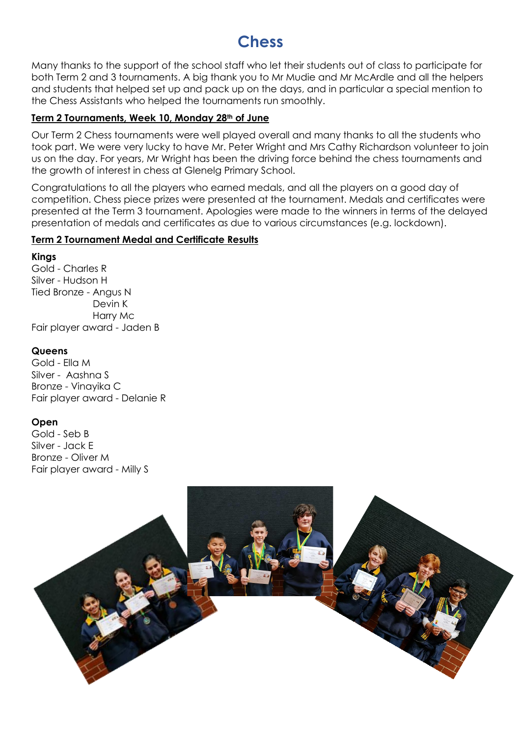## **Chess**

Many thanks to the support of the school staff who let their students out of class to participate for both Term 2 and 3 tournaments. A big thank you to Mr Mudie and Mr McArdle and all the helpers and students that helped set up and pack up on the days, and in particular a special mention to the Chess Assistants who helped the tournaments run smoothly.

#### **Term 2 Tournaments, Week 10, Monday 28th of June**

Our Term 2 Chess tournaments were well played overall and many thanks to all the students who took part. We were very lucky to have Mr. Peter Wright and Mrs Cathy Richardson volunteer to join us on the day. For years, Mr Wright has been the driving force behind the chess tournaments and the growth of interest in chess at Glenelg Primary School.

Congratulations to all the players who earned medals, and all the players on a good day of competition. Chess piece prizes were presented at the tournament. Medals and certificates were presented at the Term 3 tournament. Apologies were made to the winners in terms of the delayed presentation of medals and certificates as due to various circumstances (e.g. lockdown).

#### **Term 2 Tournament Medal and Certificate Results**

**Kings**

Gold - Charles R Silver - Hudson H Tied Bronze - Angus N Devin K Harry Mc Fair player award - Jaden B

#### **Queens**

Gold - Ella M Silver - Aashna S Bronze - Vinayika C Fair player award - Delanie R

#### **Open**

Gold - Seb B Silver - Jack E Bronze - Oliver M Fair player award - Milly S

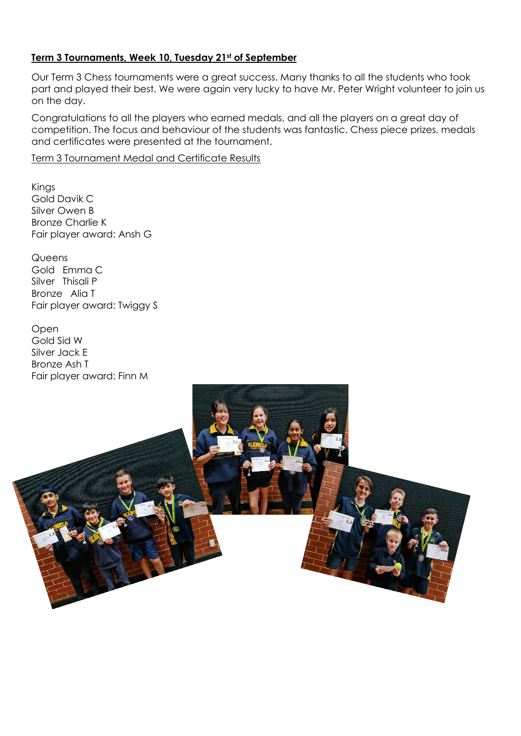#### **Term 3 Tournaments, Week 10, Tuesday 21st of September**

Our Term 3 Chess tournaments were a great success. Many thanks to all the students who took part and played their best. We were again very lucky to have Mr. Peter Wright volunteer to join us on the day.

Congratulations to all the players who earned medals, and all the players on a great day of competition. The focus and behaviour of the students was fantastic. Chess piece prizes, medals and certificates were presented at the tournament.

Term 3 Tournament Medal and Certificate Results

Kings Gold Davik C Silver Owen B Bronze Charlie K Fair player award: Ansh G

**Queens** Gold Emma C Silver Thisali P Bronze Alia T Fair player award: Twiggy S

Open Gold Sid W Silver Jack E Bronze Ash T Fair player award: Finn M

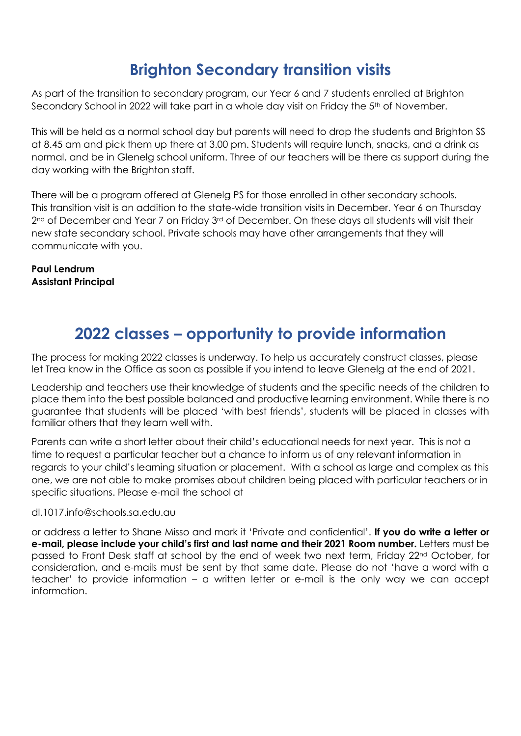## **Brighton Secondary transition visits**

As part of the transition to secondary program, our Year 6 and 7 students enrolled at Brighton Secondary School in 2022 will take part in a whole day visit on Friday the 5<sup>th</sup> of November.

This will be held as a normal school day but parents will need to drop the students and Brighton SS at 8.45 am and pick them up there at 3.00 pm. Students will require lunch, snacks, and a drink as normal, and be in Glenelg school uniform. Three of our teachers will be there as support during the day working with the Brighton staff.

There will be a program offered at Glenelg PS for those enrolled in other secondary schools. This transition visit is an addition to the state-wide transition visits in December. Year 6 on Thursday 2<sup>nd</sup> of December and Year 7 on Friday 3<sup>rd</sup> of December. On these days all students will visit their new state secondary school. Private schools may have other arrangements that they will communicate with you.

**Paul Lendrum Assistant Principal**

## **2022 classes – opportunity to provide information**

The process for making 2022 classes is underway. To help us accurately construct classes, please let Trea know in the Office as soon as possible if you intend to leave Glenelg at the end of 2021.

Leadership and teachers use their knowledge of students and the specific needs of the children to place them into the best possible balanced and productive learning environment. While there is no guarantee that students will be placed 'with best friends', students will be placed in classes with familiar others that they learn well with.

Parents can write a short letter about their child's educational needs for next year. This is not a time to request a particular teacher but a chance to inform us of any relevant information in regards to your child's learning situation or placement. With a school as large and complex as this one, we are not able to make promises about children being placed with particular teachers or in specific situations. Please e-mail the school at

dl.1017.info@schools.sa.edu.au

or address a letter to Shane Misso and mark it 'Private and confidential'. **If you do write a letter or e-mail, please include your child's first and last name and their 2021 Room number.** Letters must be passed to Front Desk staff at school by the end of week two next term, Friday 22nd October, for consideration, and e-mails must be sent by that same date. Please do not 'have a word with a teacher' to provide information – a written letter or e-mail is the only way we can accept information.